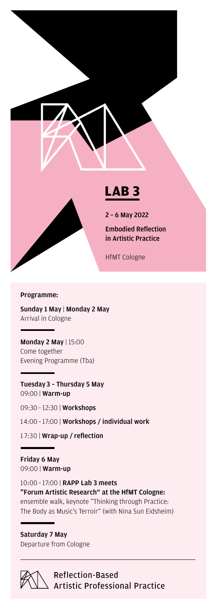

#### Programme:

Sunday 1 May | Monday 2 May Arrival in Cologne

Monday 2 May | 15:00 Come together Evening Programme (Tba)

Tuesday 3 – Thursday 5 May 09:00 | Warm-up

09:30 – 12:30 | Workshops

14:00 – 17:00 | Workshops / individual work

1 7:30 | Wrap-up / reflection

Friday 6 May 09:00 | Warm-up

10:00 – 17:00 | RAPP Lab 3 meets "Forum Artistic Research" at the HfMT Cologne: ensemble walk, keynote "Thinking through Practice: The Body as Music's Terroir" (with Nina Sun Eidsheim)

Saturday 7 May Departure from Cologne



**Reflection-Based Artistic Professional Practice**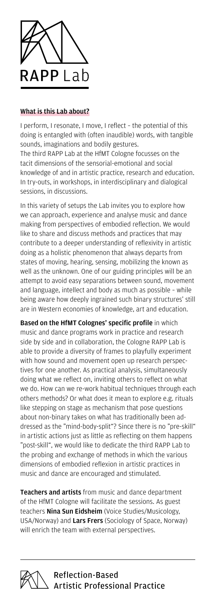

# What is this Lab about?

I perform, I resonate, I move, I reflect – the potential of this doing is entangled with (often inaudible) words, with tangible sounds, imaginations and bodily gestures.

The third RAPP Lab at the HfMT Cologne focusses on the tacit dimensions of the sensorial-emotional and social knowledge of and in artistic practice, research and education. In try-outs, in workshops, in interdisciplinary and dialogical sessions, in discussions.

In this variety of setups the Lab invites you to explore how we can approach, experience and analyse music and dance making from perspectives of embodied reflection. We would like to share and discuss methods and practices that may contribute to a deeper understanding of reflexivity in artistic doing as a holistic phenomenon that always departs from states of moving, hearing, sensing, mobilizing the known as well as the unknown. One of our guiding principles will be an attempt to avoid easy separations between sound, movement and language, intellect and body as much as possible – while being aware how deeply ingrained such binary structures' still are in Western economies of knowledge, art and education.

Based on the HfMT Colognes' specific profile in which music and dance programs work in practice and research side by side and in collaboration, the Cologne RAPP Lab is able to provide a diversity of frames to playfully experiment with how sound and movement open up research perspectives for one another. As practical analysis, simultaneously doing what we reflect on, inviting others to reflect on what we do. How can we re-work habitual techniques through each others methods? Or what does it mean to explore e.g. rituals like stepping on stage as mechanism that pose questions about non-binary takes on what has traditionally been addressed as the "mind-body-split"? Since there is no "pre-skill" in artistic actions just as little as reflecting on them happens "post-skill", we would like to dedicate the third RAPP Lab to the probing and exchange of methods in which the various dimensions of embodied reflexion in artistic practices in music and dance are encouraged and stimulated.

Teachers and artists from music and dance department of the HfMT Cologne will facilitate the sessions. As guest teachers **Nina Sun Eidsheim** (Voice Studies/Musicology, USA/Norway) and Lars Frers (Sociology of Space, Norway) will enrich the team with external perspectives.